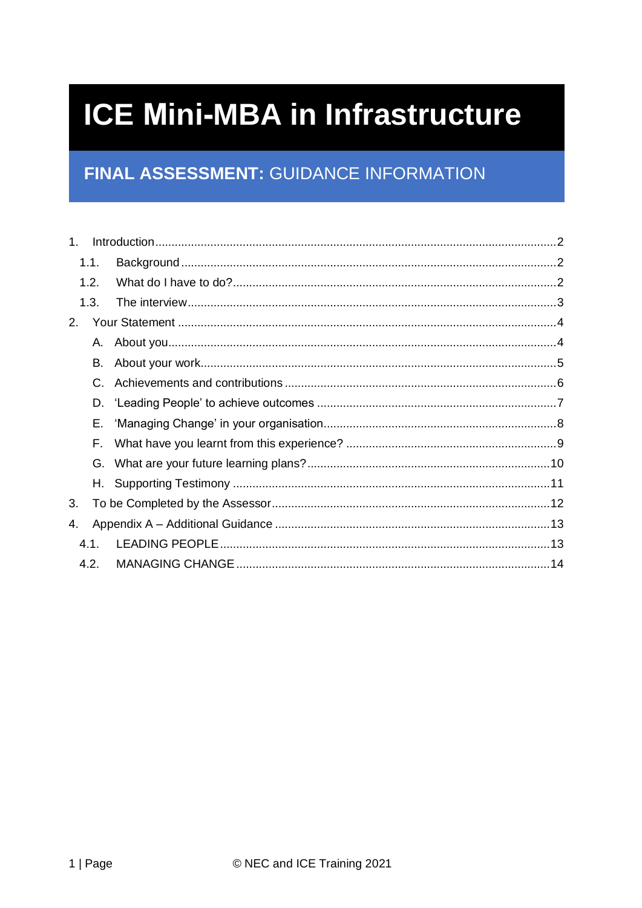# **ICE Mini-MBA in Infrastructure**

# FINAL ASSESSMENT: GUIDANCE INFORMATION

| $1_{-}$ |    |  |  |  |
|---------|----|--|--|--|
| 1.1.    |    |  |  |  |
| 1.2.    |    |  |  |  |
| 1.3.    |    |  |  |  |
| 2.      |    |  |  |  |
|         | A. |  |  |  |
|         | В. |  |  |  |
|         | C. |  |  |  |
|         | D. |  |  |  |
|         | Е. |  |  |  |
|         | F. |  |  |  |
|         | G. |  |  |  |
|         |    |  |  |  |
| 3.      |    |  |  |  |
| 4.      |    |  |  |  |
| 4.1.    |    |  |  |  |
| 4.2.    |    |  |  |  |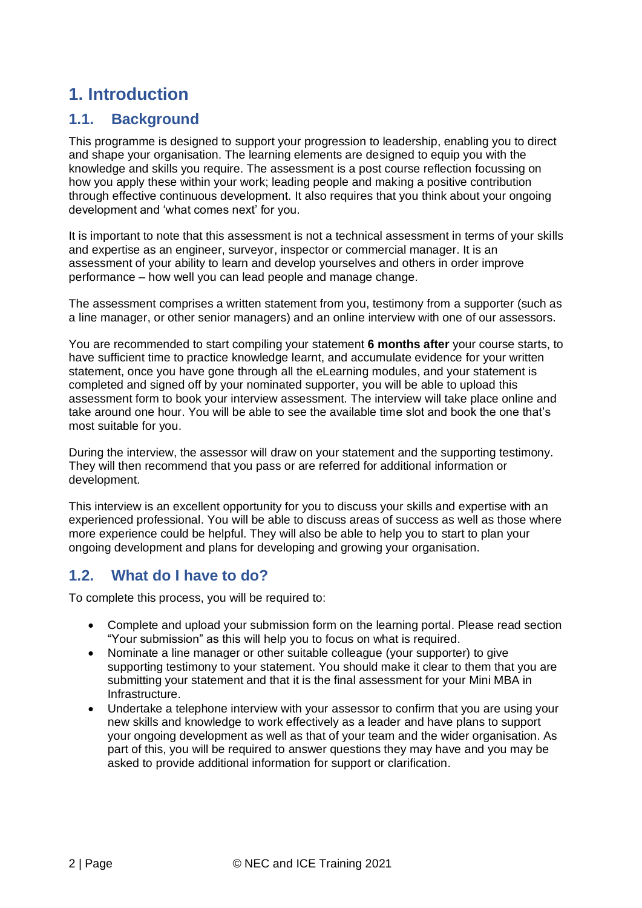# <span id="page-1-0"></span>**1. Introduction**

# <span id="page-1-1"></span>**1.1. Background**

This programme is designed to support your progression to leadership, enabling you to direct and shape your organisation. The learning elements are designed to equip you with the knowledge and skills you require. The assessment is a post course reflection focussing on how you apply these within your work; leading people and making a positive contribution through effective continuous development. It also requires that you think about your ongoing development and 'what comes next' for you.

It is important to note that this assessment is not a technical assessment in terms of your skills and expertise as an engineer, surveyor, inspector or commercial manager. It is an assessment of your ability to learn and develop yourselves and others in order improve performance – how well you can lead people and manage change.

The assessment comprises a written statement from you, testimony from a supporter (such as a line manager, or other senior managers) and an online interview with one of our assessors.

You are recommended to start compiling your statement **6 months after** your course starts, to have sufficient time to practice knowledge learnt, and accumulate evidence for your written statement, once you have gone through all the eLearning modules, and your statement is completed and signed off by your nominated supporter, you will be able to upload this assessment form to book your interview assessment. The interview will take place online and take around one hour. You will be able to see the available time slot and book the one that's most suitable for you.

During the interview, the assessor will draw on your statement and the supporting testimony. They will then recommend that you pass or are referred for additional information or development.

This interview is an excellent opportunity for you to discuss your skills and expertise with an experienced professional. You will be able to discuss areas of success as well as those where more experience could be helpful. They will also be able to help you to start to plan your ongoing development and plans for developing and growing your organisation.

# <span id="page-1-2"></span>**1.2. What do I have to do?**

To complete this process, you will be required to:

- Complete and upload your submission form on the learning portal. Please read section "Your submission" as this will help you to focus on what is required.
- Nominate a line manager or other suitable colleague (your supporter) to give supporting testimony to your statement. You should make it clear to them that you are submitting your statement and that it is the final assessment for your Mini MBA in Infrastructure.
- Undertake a telephone interview with your assessor to confirm that you are using your new skills and knowledge to work effectively as a leader and have plans to support your ongoing development as well as that of your team and the wider organisation. As part of this, you will be required to answer questions they may have and you may be asked to provide additional information for support or clarification.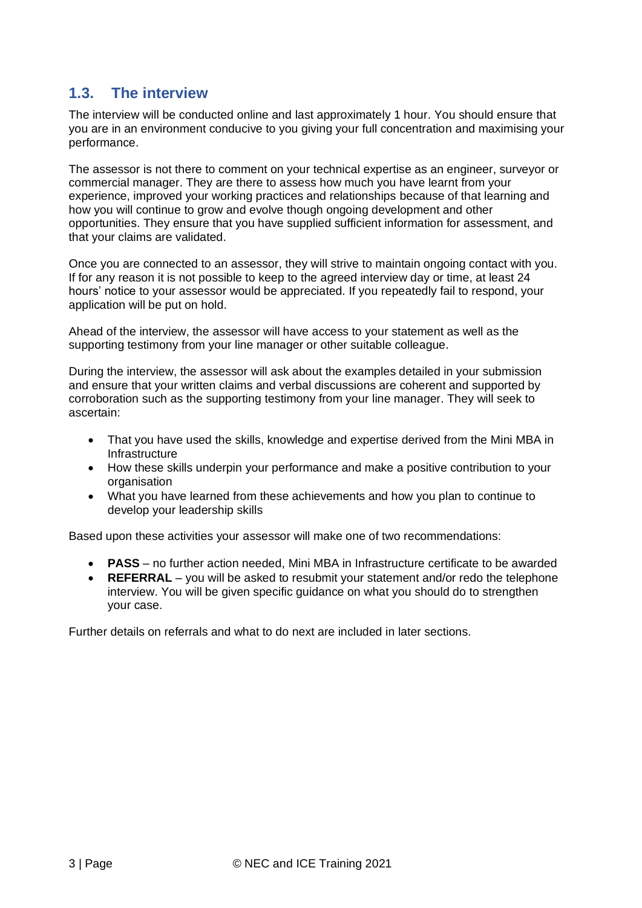# <span id="page-2-0"></span>**1.3. The interview**

The interview will be conducted online and last approximately 1 hour. You should ensure that you are in an environment conducive to you giving your full concentration and maximising your performance.

The assessor is not there to comment on your technical expertise as an engineer, surveyor or commercial manager. They are there to assess how much you have learnt from your experience, improved your working practices and relationships because of that learning and how you will continue to grow and evolve though ongoing development and other opportunities. They ensure that you have supplied sufficient information for assessment, and that your claims are validated.

Once you are connected to an assessor, they will strive to maintain ongoing contact with you. If for any reason it is not possible to keep to the agreed interview day or time, at least 24 hours' notice to your assessor would be appreciated. If you repeatedly fail to respond, your application will be put on hold.

Ahead of the interview, the assessor will have access to your statement as well as the supporting testimony from your line manager or other suitable colleague.

During the interview, the assessor will ask about the examples detailed in your submission and ensure that your written claims and verbal discussions are coherent and supported by corroboration such as the supporting testimony from your line manager. They will seek to ascertain:

- That you have used the skills, knowledge and expertise derived from the Mini MBA in **Infrastructure**
- How these skills underpin your performance and make a positive contribution to your organisation
- What you have learned from these achievements and how you plan to continue to develop your leadership skills

Based upon these activities your assessor will make one of two recommendations:

- **PASS** no further action needed, Mini MBA in Infrastructure certificate to be awarded
- **REFERRAL** you will be asked to resubmit your statement and/or redo the telephone interview. You will be given specific guidance on what you should do to strengthen your case.

Further details on referrals and what to do next are included in later sections.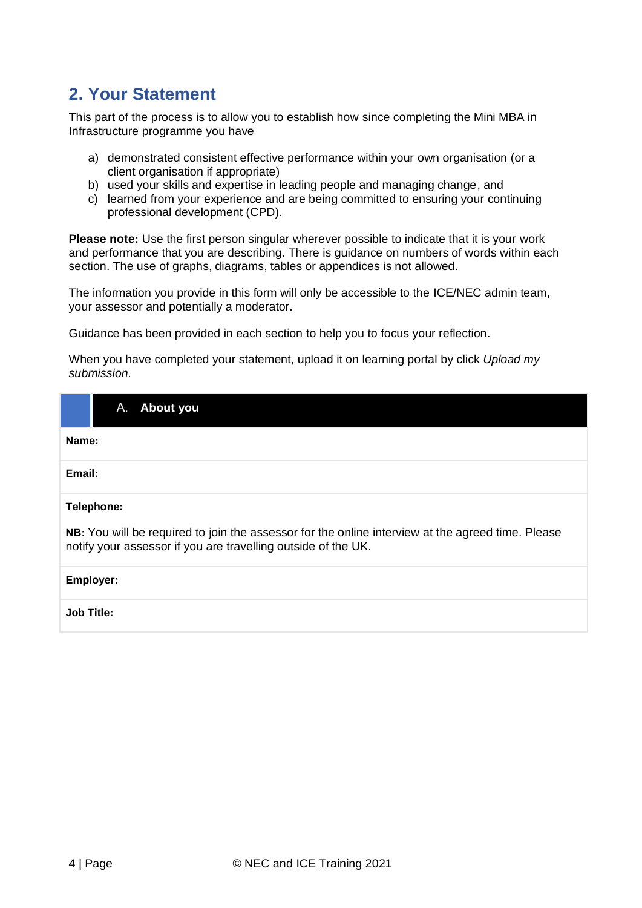# <span id="page-3-0"></span>**2. Your Statement**

This part of the process is to allow you to establish how since completing the Mini MBA in Infrastructure programme you have

- a) demonstrated consistent effective performance within your own organisation (or a client organisation if appropriate)
- b) used your skills and expertise in leading people and managing change, and
- c) learned from your experience and are being committed to ensuring your continuing professional development (CPD).

**Please note:** Use the first person singular wherever possible to indicate that it is your work and performance that you are describing. There is guidance on numbers of words within each section. The use of graphs, diagrams, tables or appendices is not allowed.

The information you provide in this form will only be accessible to the ICE/NEC admin team, your assessor and potentially a moderator.

Guidance has been provided in each section to help you to focus your reflection.

When you have completed your statement, upload it on learning portal by click *Upload my submission.*

<span id="page-3-1"></span>

| About you<br>А.                                                                                                                                                    |  |  |  |  |  |
|--------------------------------------------------------------------------------------------------------------------------------------------------------------------|--|--|--|--|--|
| Name:                                                                                                                                                              |  |  |  |  |  |
| Email:                                                                                                                                                             |  |  |  |  |  |
| Telephone:                                                                                                                                                         |  |  |  |  |  |
| NB: You will be required to join the assessor for the online interview at the agreed time. Please<br>notify your assessor if you are travelling outside of the UK. |  |  |  |  |  |
| Employer:                                                                                                                                                          |  |  |  |  |  |
| <b>Job Title:</b>                                                                                                                                                  |  |  |  |  |  |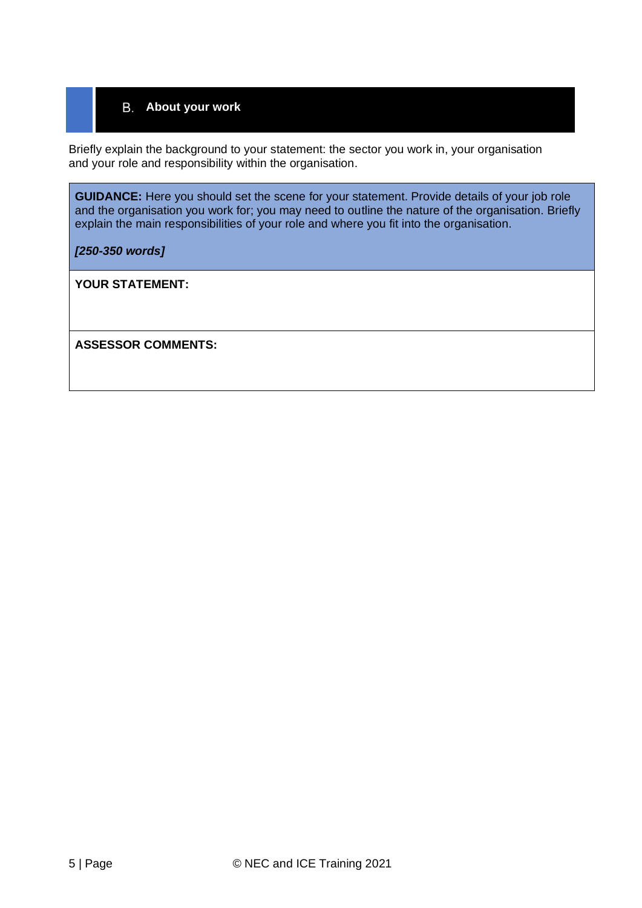### <span id="page-4-0"></span>**About your work**

Briefly explain the background to your statement: the sector you work in, your organisation and your role and responsibility within the organisation.

**GUIDANCE:** Here you should set the scene for your statement. Provide details of your job role and the organisation you work for; you may need to outline the nature of the organisation. Briefly explain the main responsibilities of your role and where you fit into the organisation.

*[250-350 words]*

**YOUR STATEMENT:**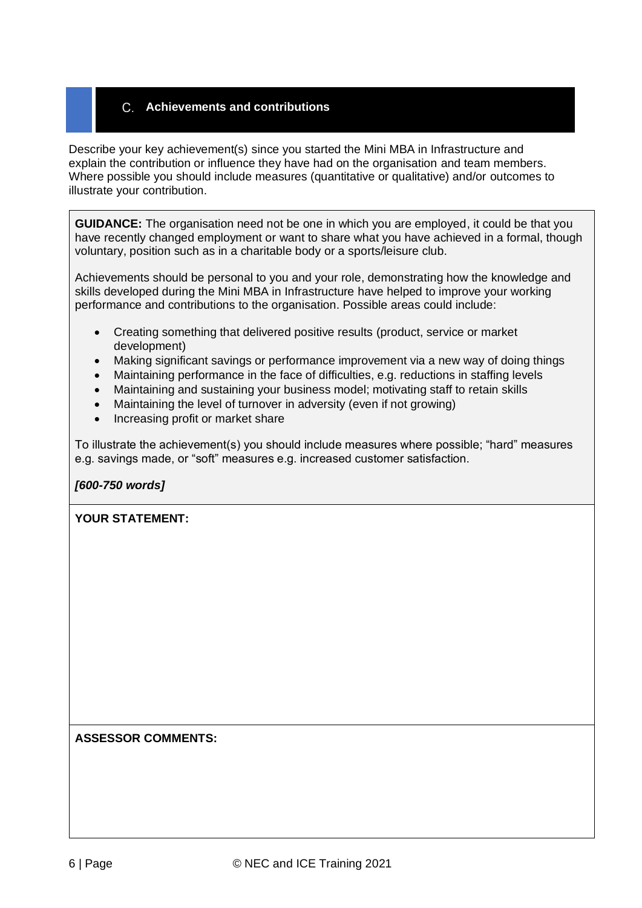### <span id="page-5-0"></span>**Achievements and contributions**

Describe your key achievement(s) since you started the Mini MBA in Infrastructure and explain the contribution or influence they have had on the organisation and team members. Where possible you should include measures (quantitative or qualitative) and/or outcomes to illustrate your contribution.

**GUIDANCE:** The organisation need not be one in which you are employed, it could be that you have recently changed employment or want to share what you have achieved in a formal, though voluntary, position such as in a charitable body or a sports/leisure club.

Achievements should be personal to you and your role, demonstrating how the knowledge and skills developed during the Mini MBA in Infrastructure have helped to improve your working performance and contributions to the organisation. Possible areas could include:

- Creating something that delivered positive results (product, service or market development)
- Making significant savings or performance improvement via a new way of doing things
- Maintaining performance in the face of difficulties, e.g. reductions in staffing levels
- Maintaining and sustaining your business model; motivating staff to retain skills
- Maintaining the level of turnover in adversity (even if not growing)
- Increasing profit or market share

To illustrate the achievement(s) you should include measures where possible; "hard" measures e.g. savings made, or "soft" measures e.g. increased customer satisfaction.

#### *[600-750 words]*

#### **YOUR STATEMENT:**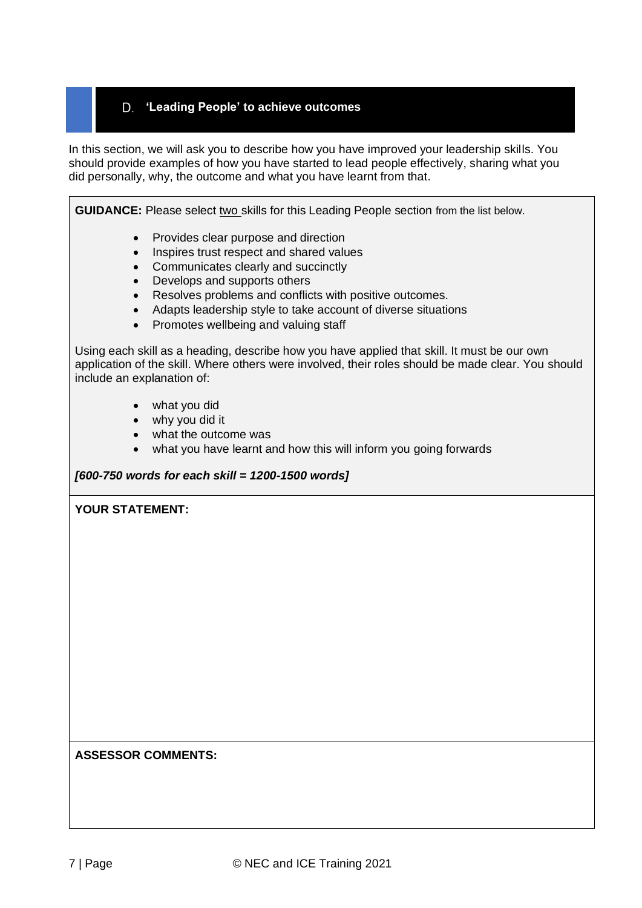### <span id="page-6-0"></span>**'Leading People' to achieve outcomes**

In this section, we will ask you to describe how you have improved your leadership skills. You should provide examples of how you have started to lead people effectively, sharing what you did personally, why, the outcome and what you have learnt from that.

**GUIDANCE:** Please select two skills for this Leading People section from the list below.

- Provides clear purpose and direction
- Inspires trust respect and shared values
- Communicates clearly and succinctly
- Develops and supports others
- Resolves problems and conflicts with positive outcomes.
- Adapts leadership style to take account of diverse situations
- Promotes wellbeing and valuing staff

Using each skill as a heading, describe how you have applied that skill. It must be our own application of the skill. Where others were involved, their roles should be made clear. You should include an explanation of:

- what you did
- why you did it
- what the outcome was
- what you have learnt and how this will inform you going forwards

#### *[600-750 words for each skill = 1200-1500 words]*

#### **YOUR STATEMENT:**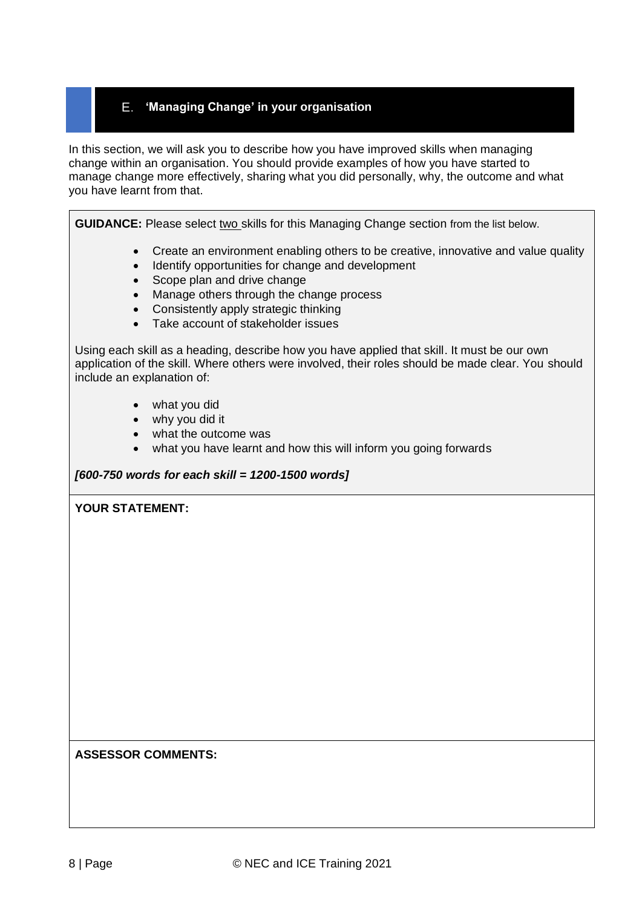### <span id="page-7-0"></span>**'Managing Change' in your organisation**

In this section, we will ask you to describe how you have improved skills when managing change within an organisation. You should provide examples of how you have started to manage change more effectively, sharing what you did personally, why, the outcome and what you have learnt from that.

**GUIDANCE:** Please select two skills for this Managing Change section from the list below.

- Create an environment enabling others to be creative, innovative and value quality
- Identify opportunities for change and development
- Scope plan and drive change
- Manage others through the change process
- Consistently apply strategic thinking
- Take account of stakeholder issues

Using each skill as a heading, describe how you have applied that skill. It must be our own application of the skill. Where others were involved, their roles should be made clear. You should include an explanation of:

- what you did
- why you did it
- what the outcome was
- what you have learnt and how this will inform you going forwards

#### *[600-750 words for each skill = 1200-1500 words]*

#### **YOUR STATEMENT:**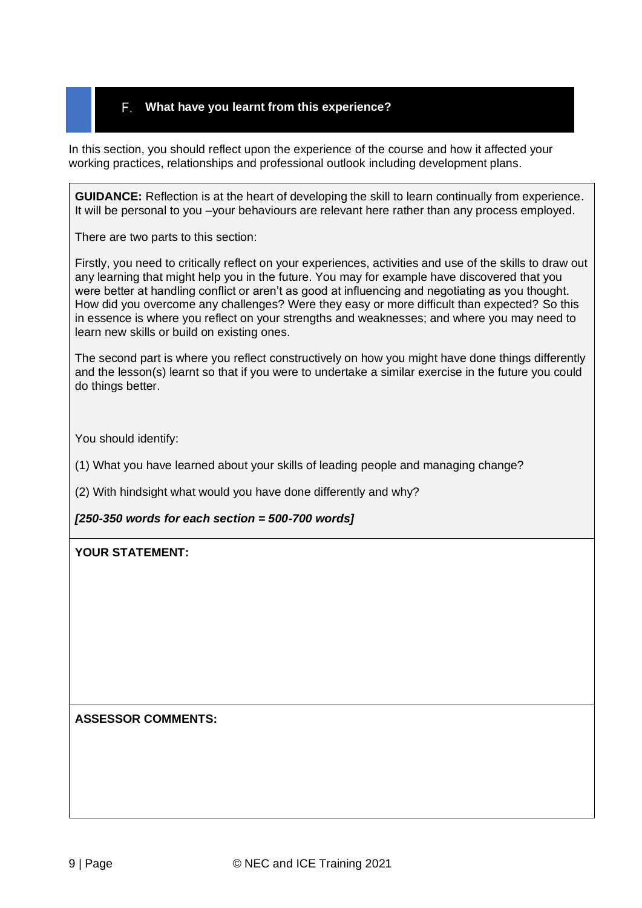#### <span id="page-8-0"></span>**What have you learnt from this experience?**

In this section, you should reflect upon the experience of the course and how it affected your working practices, relationships and professional outlook including development plans.

**GUIDANCE:** Reflection is at the heart of developing the skill to learn continually from experience. It will be personal to you –your behaviours are relevant here rather than any process employed.

There are two parts to this section:

Firstly, you need to critically reflect on your experiences, activities and use of the skills to draw out any learning that might help you in the future. You may for example have discovered that you were better at handling conflict or aren't as good at influencing and negotiating as you thought. How did you overcome any challenges? Were they easy or more difficult than expected? So this in essence is where you reflect on your strengths and weaknesses; and where you may need to learn new skills or build on existing ones.

The second part is where you reflect constructively on how you might have done things differently and the lesson(s) learnt so that if you were to undertake a similar exercise in the future you could do things better.

You should identify:

(1) What you have learned about your skills of leading people and managing change?

(2) With hindsight what would you have done differently and why?

#### *[250-350 words for each section = 500-700 words]*

#### **YOUR STATEMENT:**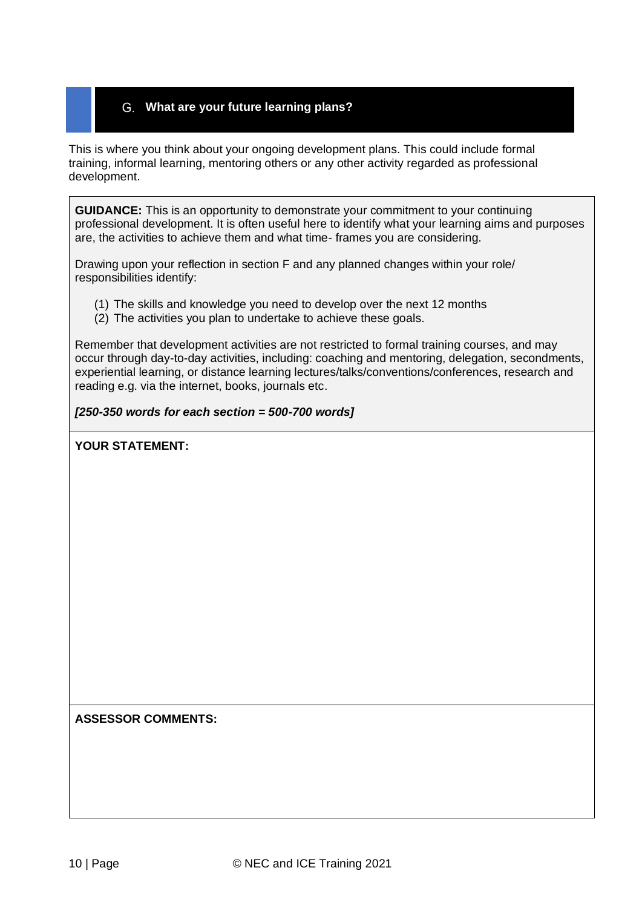### <span id="page-9-0"></span>**What are your future learning plans?**

This is where you think about your ongoing development plans. This could include formal training, informal learning, mentoring others or any other activity regarded as professional development.

**GUIDANCE:** This is an opportunity to demonstrate your commitment to your continuing professional development. It is often useful here to identify what your learning aims and purposes are, the activities to achieve them and what time- frames you are considering.

Drawing upon your reflection in section F and any planned changes within your role/ responsibilities identify:

- (1) The skills and knowledge you need to develop over the next 12 months
- (2) The activities you plan to undertake to achieve these goals.

Remember that development activities are not restricted to formal training courses, and may occur through day-to-day activities, including: coaching and mentoring, delegation, secondments, experiential learning, or distance learning lectures/talks/conventions/conferences, research and reading e.g. via the internet, books, journals etc.

#### *[250-350 words for each section = 500-700 words]*

#### **YOUR STATEMENT:**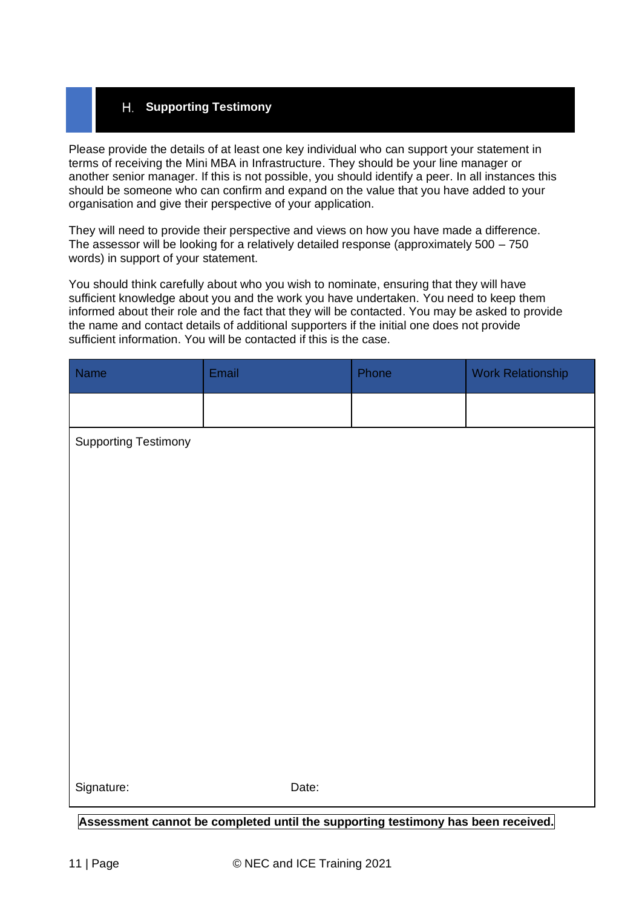### <span id="page-10-0"></span>**Supporting Testimony**

Please provide the details of at least one key individual who can support your statement in terms of receiving the Mini MBA in Infrastructure. They should be your line manager or another senior manager. If this is not possible, you should identify a peer. In all instances this should be someone who can confirm and expand on the value that you have added to your organisation and give their perspective of your application.

They will need to provide their perspective and views on how you have made a difference. The assessor will be looking for a relatively detailed response (approximately 500 – 750 words) in support of your statement.

You should think carefully about who you wish to nominate, ensuring that they will have sufficient knowledge about you and the work you have undertaken. You need to keep them informed about their role and the fact that they will be contacted. You may be asked to provide the name and contact details of additional supporters if the initial one does not provide sufficient information. You will be contacted if this is the case.

| Name                        | Email | Phone | <b>Work Relationship</b> |  |  |  |  |  |
|-----------------------------|-------|-------|--------------------------|--|--|--|--|--|
|                             |       |       |                          |  |  |  |  |  |
| <b>Supporting Testimony</b> |       |       |                          |  |  |  |  |  |
|                             |       |       |                          |  |  |  |  |  |
|                             |       |       |                          |  |  |  |  |  |
|                             |       |       |                          |  |  |  |  |  |
|                             |       |       |                          |  |  |  |  |  |
|                             |       |       |                          |  |  |  |  |  |
|                             |       |       |                          |  |  |  |  |  |
|                             |       |       |                          |  |  |  |  |  |
|                             |       |       |                          |  |  |  |  |  |
|                             |       |       |                          |  |  |  |  |  |
|                             |       |       |                          |  |  |  |  |  |
| Signature:                  | Date: |       |                          |  |  |  |  |  |

**Assessment cannot be completed until the supporting testimony has been received.**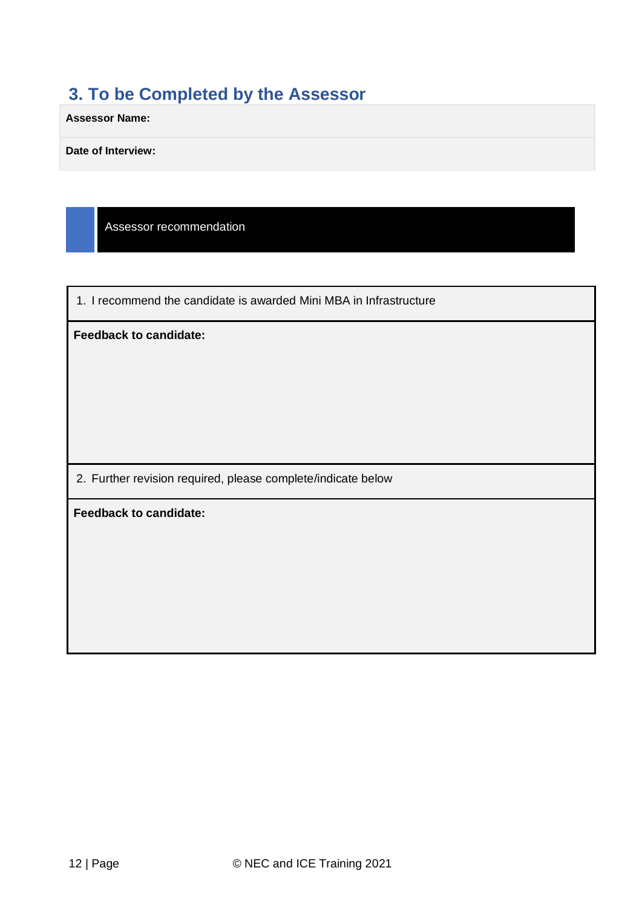# <span id="page-11-0"></span>**3. To be Completed by the Assessor**

**Assessor Name:**

**Date of Interview:**

Assessor recommendation

1. I recommend the candidate is awarded Mini MBA in Infrastructure

**Feedback to candidate:**

2. Further revision required, please complete/indicate below

**Feedback to candidate:**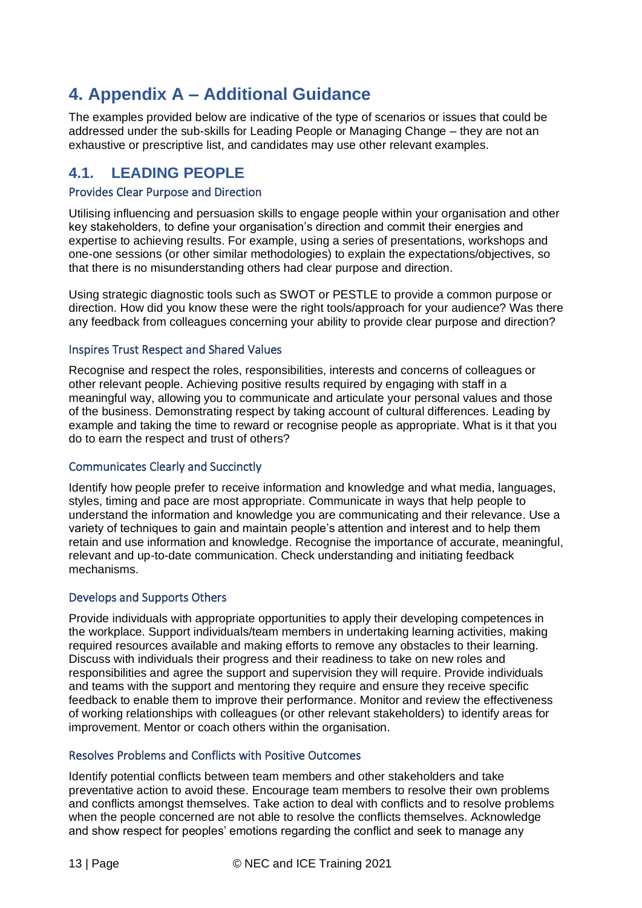# <span id="page-12-0"></span>**4. Appendix A – Additional Guidance**

The examples provided below are indicative of the type of scenarios or issues that could be addressed under the sub-skills for Leading People or Managing Change – they are not an exhaustive or prescriptive list, and candidates may use other relevant examples.

# <span id="page-12-1"></span>**4.1. LEADING PEOPLE**

#### Provides Clear Purpose and Direction

Utilising influencing and persuasion skills to engage people within your organisation and other key stakeholders, to define your organisation's direction and commit their energies and expertise to achieving results. For example, using a series of presentations, workshops and one-one sessions (or other similar methodologies) to explain the expectations/objectives, so that there is no misunderstanding others had clear purpose and direction.

Using strategic diagnostic tools such as SWOT or PESTLE to provide a common purpose or direction. How did you know these were the right tools/approach for your audience? Was there any feedback from colleagues concerning your ability to provide clear purpose and direction?

#### Inspires Trust Respect and Shared Values

Recognise and respect the roles, responsibilities, interests and concerns of colleagues or other relevant people. Achieving positive results required by engaging with staff in a meaningful way, allowing you to communicate and articulate your personal values and those of the business. Demonstrating respect by taking account of cultural differences. Leading by example and taking the time to reward or recognise people as appropriate. What is it that you do to earn the respect and trust of others?

#### Communicates Clearly and Succinctly

Identify how people prefer to receive information and knowledge and what media, languages, styles, timing and pace are most appropriate. Communicate in ways that help people to understand the information and knowledge you are communicating and their relevance. Use a variety of techniques to gain and maintain people's attention and interest and to help them retain and use information and knowledge. Recognise the importance of accurate, meaningful, relevant and up-to-date communication. Check understanding and initiating feedback mechanisms.

#### Develops and Supports Others

Provide individuals with appropriate opportunities to apply their developing competences in the workplace. Support individuals/team members in undertaking learning activities, making required resources available and making efforts to remove any obstacles to their learning. Discuss with individuals their progress and their readiness to take on new roles and responsibilities and agree the support and supervision they will require. Provide individuals and teams with the support and mentoring they require and ensure they receive specific feedback to enable them to improve their performance. Monitor and review the effectiveness of working relationships with colleagues (or other relevant stakeholders) to identify areas for improvement. Mentor or coach others within the organisation.

#### Resolves Problems and Conflicts with Positive Outcomes

Identify potential conflicts between team members and other stakeholders and take preventative action to avoid these. Encourage team members to resolve their own problems and conflicts amongst themselves. Take action to deal with conflicts and to resolve problems when the people concerned are not able to resolve the conflicts themselves. Acknowledge and show respect for peoples' emotions regarding the conflict and seek to manage any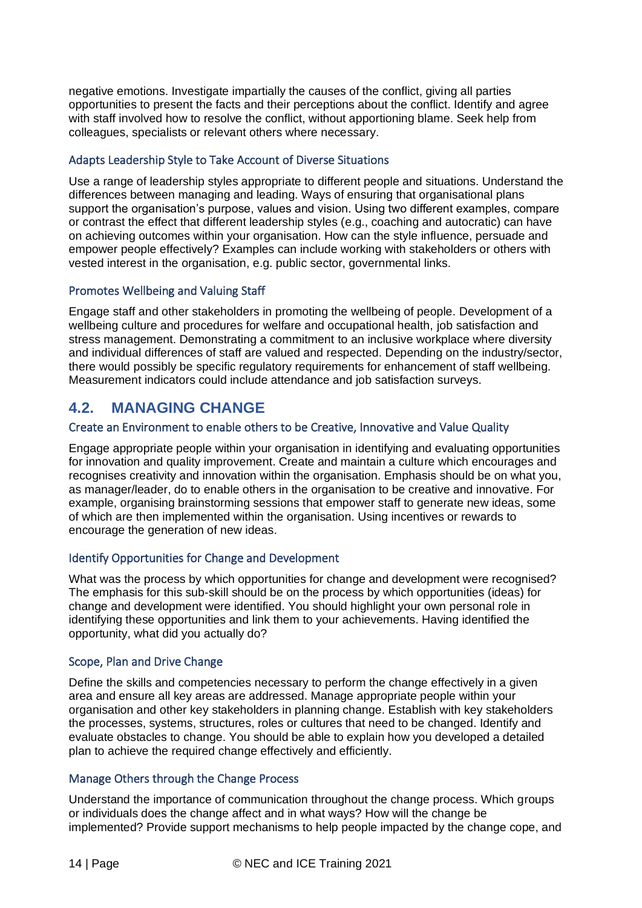negative emotions. Investigate impartially the causes of the conflict, giving all parties opportunities to present the facts and their perceptions about the conflict. Identify and agree with staff involved how to resolve the conflict, without apportioning blame. Seek help from colleagues, specialists or relevant others where necessary.

#### Adapts Leadership Style to Take Account of Diverse Situations

Use a range of leadership styles appropriate to different people and situations. Understand the differences between managing and leading. Ways of ensuring that organisational plans support the organisation's purpose, values and vision. Using two different examples, compare or contrast the effect that different leadership styles (e.g., coaching and autocratic) can have on achieving outcomes within your organisation. How can the style influence, persuade and empower people effectively? Examples can include working with stakeholders or others with vested interest in the organisation, e.g. public sector, governmental links.

#### Promotes Wellbeing and Valuing Staff

Engage staff and other stakeholders in promoting the wellbeing of people. Development of a wellbeing culture and procedures for welfare and occupational health, job satisfaction and stress management. Demonstrating a commitment to an inclusive workplace where diversity and individual differences of staff are valued and respected. Depending on the industry/sector, there would possibly be specific regulatory requirements for enhancement of staff wellbeing. Measurement indicators could include attendance and job satisfaction surveys.

# <span id="page-13-0"></span>**4.2. MANAGING CHANGE**

#### Create an Environment to enable others to be Creative, Innovative and Value Quality

Engage appropriate people within your organisation in identifying and evaluating opportunities for innovation and quality improvement. Create and maintain a culture which encourages and recognises creativity and innovation within the organisation. Emphasis should be on what you, as manager/leader, do to enable others in the organisation to be creative and innovative. For example, organising brainstorming sessions that empower staff to generate new ideas, some of which are then implemented within the organisation. Using incentives or rewards to encourage the generation of new ideas.

#### Identify Opportunities for Change and Development

What was the process by which opportunities for change and development were recognised? The emphasis for this sub-skill should be on the process by which opportunities (ideas) for change and development were identified. You should highlight your own personal role in identifying these opportunities and link them to your achievements. Having identified the opportunity, what did you actually do?

#### Scope, Plan and Drive Change

Define the skills and competencies necessary to perform the change effectively in a given area and ensure all key areas are addressed. Manage appropriate people within your organisation and other key stakeholders in planning change. Establish with key stakeholders the processes, systems, structures, roles or cultures that need to be changed. Identify and evaluate obstacles to change. You should be able to explain how you developed a detailed plan to achieve the required change effectively and efficiently.

#### Manage Others through the Change Process

Understand the importance of communication throughout the change process. Which groups or individuals does the change affect and in what ways? How will the change be implemented? Provide support mechanisms to help people impacted by the change cope, and